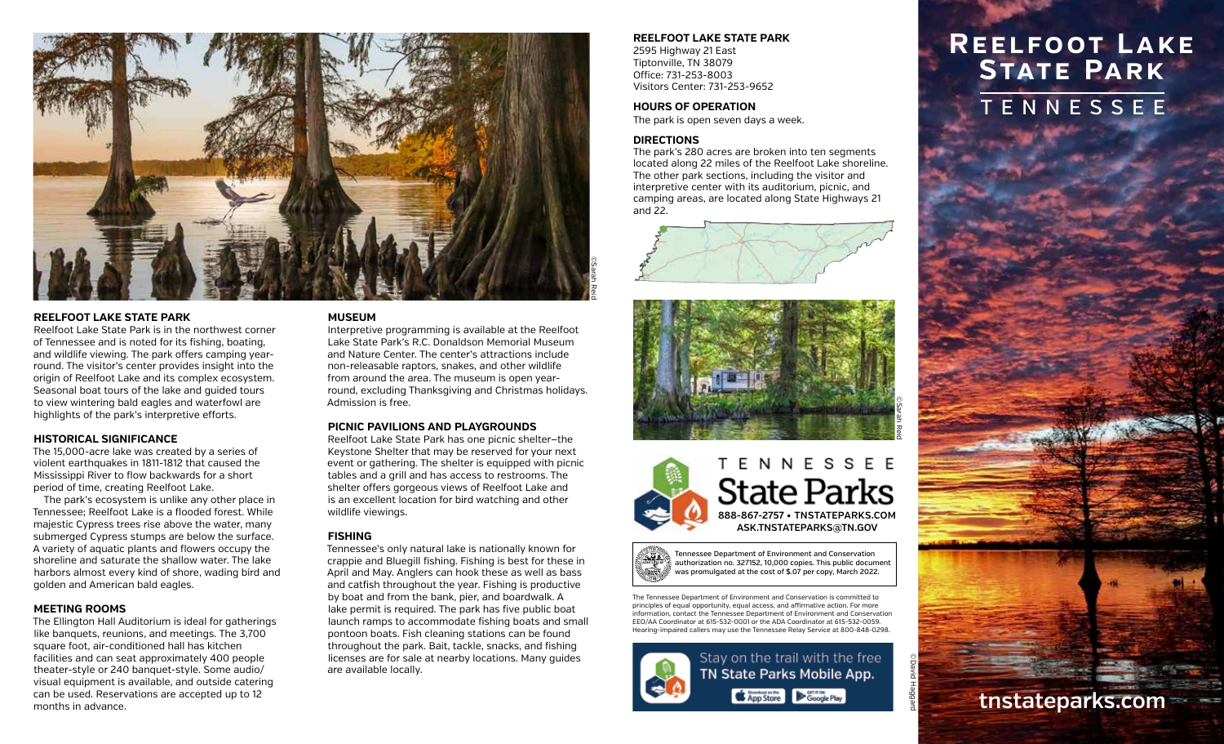

### **REELFOOT LAKE STATE PARK**

Reelfoot Lake State Park is in the northwest corner of Tennessee and is noted for its fishing, boating, and wildlife viewing. The park offers camping yearround. The visitor's center provides insight into the origin of Reelfoot Lake and its complex ecosystem. Seasonal boat tours of the lake and guided tours to view wintering bald eagles and waterfowl are highlights of the park's interpretive efforts.

### **HISTORICAL SIGNIFICANCE**

The 15,000-acre lake was created by a series of violent earthquakes in 1811-1812 that caused the Mississippi River to flow backwards for a short period of time, creating Reelfoot Lake.

The park's ecosystem is unlike any other place in Tennessee; Reelfoot Lake is a flooded forest. While majestic Cypress trees rise above the water, many submerged Cypress stumps are below the surface. A variety of aquatic plants and flowers occupy the shoreline and saturate the shallow water. The lake harbors almost every kind of shore, wading bird and golden and American bald eagles.

## **MEETING ROOMS**

The Ellington Hall Auditorium is ideal for gatherings like banquets, reunions, and meetings. The 3,700 square foot, air-conditioned hall has kitchen facilities and can seat approximately 400 people theater-style or 240 banquet-style. Some audio/ visual equipment is available, and outside catering can be used. Reservations are accepted up to 12 months in advance.

## **MUSEUM**

Interpretive programming is available at the Reelfoot Lake State Park's R.C. Donaldson Memorial Museum and Nature Center. The center's attractions include non-releasable raptors, snakes, and other wildlife from around the area. The museum is open yearround, excluding Thanksgiving and Christmas holidays. Admission is free.

### **PICNIC PAVILIONS AND PLAYGROUNDS**

Reelfoot Lake State Park has one picnic shelter—the Keystone Shelter that may be reserved for your next event or gathering. The shelter is equipped with picnic tables and a grill and has access to restrooms. The shelter offers gorgeous views of Reelfoot Lake and is an excellent location for bird watching and other wildlife viewings.

## **FISHING**

Tennessee's only natural lake is nationally known for crappie and Bluegill fishing. Fishing is best for these in April and May. Anglers can hook these as well as bass and catfish throughout the year. Fishing is productive by boat and from the bank, pier, and boardwalk. A lake permit is required. The park has five public boat launch ramps to accommodate fishing boats and small pontoon boats. Fish cleaning stations can be found throughout the park. Bait, tackle, snacks, and fishing licenses are for sale at nearby locations. Many guides are available locally.

## **REELFOOT LAKE STATE PARK**

2595 Highway 21 East Tiptonville, TN 38079 Office: 731-253-8003 Visitors Center: 731-253-9652

### **HOURS OF OPERATION**

The park is open seven days a week.

### **DIRECTIONS**

The park's 280 acres are broken into ten segments located along 22 miles of the Reelfoot Lake shoreline. The other park sections, including the visitor and interpretive center with its auditorium, picnic, and camping areas, are located along State Highways 21 and 22.







Tennessee Department of Environment and Conservation authorization no. 327152, 10,000 copies. This public document was promulgated at the cost of \$.07 per copy, March 2022.

The Tennessee Department of Environment and Conservation is committed to principles of equal opportunity, equal access, and affirmative action. For more information, contact the Tennessee Department of Environment and Conservation EEO/AA Coordinator at 615-532-0001 or the ADA Coordinator at 615-532-0059. Hearing-impaired callers may use the Tennessee Relay Service at 800-848-0298.

App Store Coogle Play





# **TENNESSEE Reelfoot Lake State Park**